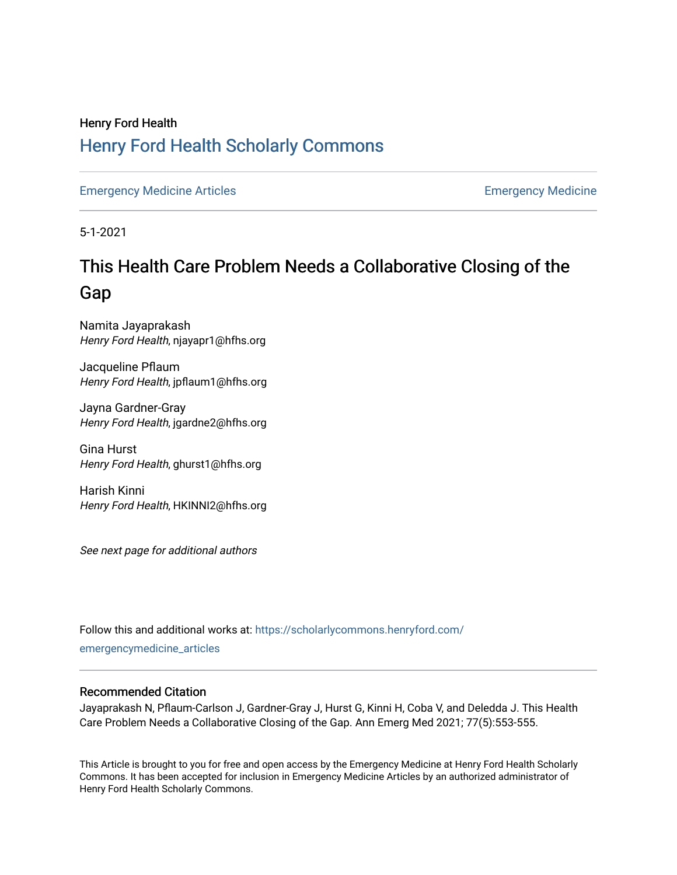## Henry Ford Health [Henry Ford Health Scholarly Commons](https://scholarlycommons.henryford.com/)

[Emergency Medicine Articles](https://scholarlycommons.henryford.com/emergencymedicine_articles) **Emergency Medicine** 

5-1-2021

# This Health Care Problem Needs a Collaborative Closing of the Gap

Namita Jayaprakash Henry Ford Health, njayapr1@hfhs.org

Jacqueline Pflaum Henry Ford Health, jpflaum1@hfhs.org

Jayna Gardner-Gray Henry Ford Health, jgardne2@hfhs.org

Gina Hurst Henry Ford Health, ghurst1@hfhs.org

Harish Kinni Henry Ford Health, HKINNI2@hfhs.org

See next page for additional authors

Follow this and additional works at: [https://scholarlycommons.henryford.com/](https://scholarlycommons.henryford.com/emergencymedicine_articles?utm_source=scholarlycommons.henryford.com%2Femergencymedicine_articles%2F225&utm_medium=PDF&utm_campaign=PDFCoverPages) [emergencymedicine\\_articles](https://scholarlycommons.henryford.com/emergencymedicine_articles?utm_source=scholarlycommons.henryford.com%2Femergencymedicine_articles%2F225&utm_medium=PDF&utm_campaign=PDFCoverPages) 

#### Recommended Citation

Jayaprakash N, Pflaum-Carlson J, Gardner-Gray J, Hurst G, Kinni H, Coba V, and Deledda J. This Health Care Problem Needs a Collaborative Closing of the Gap. Ann Emerg Med 2021; 77(5):553-555.

This Article is brought to you for free and open access by the Emergency Medicine at Henry Ford Health Scholarly Commons. It has been accepted for inclusion in Emergency Medicine Articles by an authorized administrator of Henry Ford Health Scholarly Commons.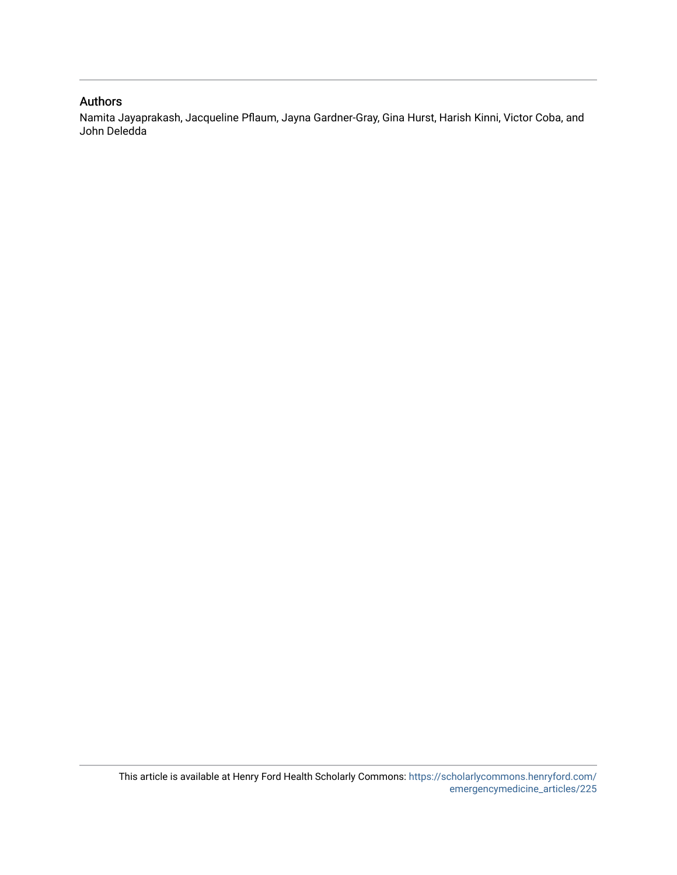#### Authors

Namita Jayaprakash, Jacqueline Pflaum, Jayna Gardner-Gray, Gina Hurst, Harish Kinni, Victor Coba, and John Deledda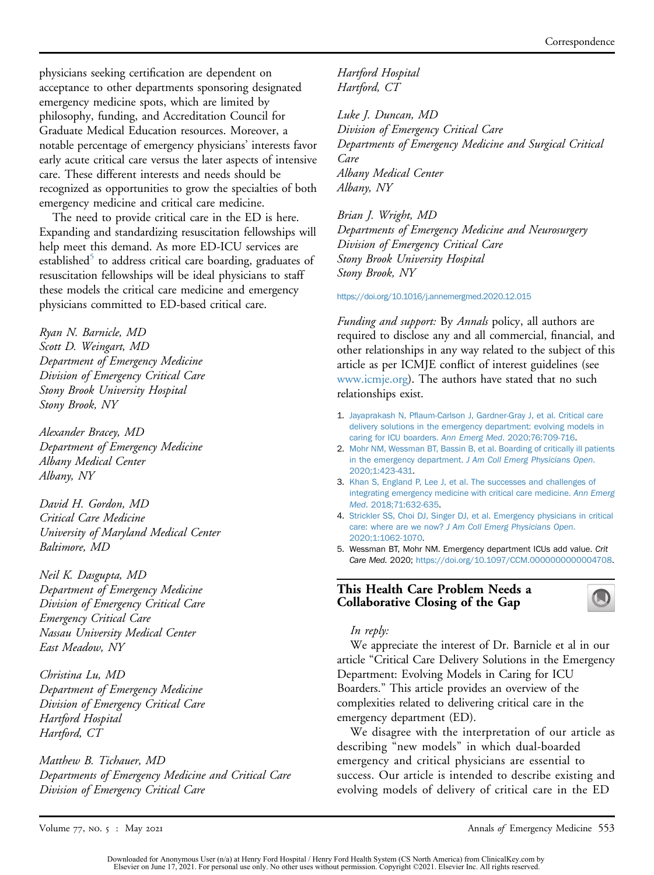physicians seeking certification are dependent on acceptance to other departments sponsoring designated emergency medicine spots, which are limited by philosophy, funding, and Accreditation Council for Graduate Medical Education resources. Moreover, a notable percentage of emergency physicians' interests favor early acute critical care versus the later aspects of intensive care. These different interests and needs should be recognized as opportunities to grow the specialties of both emergency medicine and critical care medicine.

The need to provide critical care in the ED is here. Expanding and standardizing resuscitation fellowships will help meet this demand. As more ED-ICU services are established $\degree$  to address critical care boarding, graduates of resuscitation fellowships will be ideal physicians to staff these models the critical care medicine and emergency physicians committed to ED-based critical care.

Ryan N. Barnicle, MD Scott D. Weingart, MD Department of Emergency Medicine Division of Emergency Critical Care Stony Brook University Hospital Stony Brook, NY

Alexander Bracey, MD Department of Emergency Medicine Albany Medical Center Albany, NY

David H. Gordon, MD Critical Care Medicine University of Maryland Medical Center Baltimore, MD

Neil K. Dasgupta, MD Department of Emergency Medicine Division of Emergency Critical Care Emergency Critical Care Nassau University Medical Center East Meadow, NY

Christina Lu, MD Department of Emergency Medicine Division of Emergency Critical Care Hartford Hospital Hartford, CT

Matthew B. Tichauer, MD Departments of Emergency Medicine and Critical Care Division of Emergency Critical Care

Hartford Hospital Hartford, CT

Luke J. Duncan, MD Division of Emergency Critical Care Departments of Emergency Medicine and Surgical Critical Care Albany Medical Center Albany, NY

Brian J. Wright, MD Departments of Emergency Medicine and Neurosurgery Division of Emergency Critical Care Stony Brook University Hospital Stony Brook, NY

<https://doi.org/10.1016/j.annemergmed.2020.12.015>

Funding and support: By Annals policy, all authors are required to disclose any and all commercial, financial, and other relationships in any way related to the subject of this article as per ICMJE conflict of interest guidelines (see [www.icmje.org\)](http://www.icmje.org). The authors have stated that no such relationships exist.

- 1. Jayaprakash N, Pfl[aum-Carlson J, Gardner-Gray J, et al. Critical care](http://refhub.elsevier.com/S0196-0644(20)31464-5/sref1) [delivery solutions in the emergency department: evolving models in](http://refhub.elsevier.com/S0196-0644(20)31464-5/sref1) [caring for ICU boarders.](http://refhub.elsevier.com/S0196-0644(20)31464-5/sref1) Ann Emerg Med. 2020;76:709-716.
- 2. [Mohr NM, Wessman BT, Bassin B, et al. Boarding of critically ill patients](http://refhub.elsevier.com/S0196-0644(20)31464-5/sref2) in the emergency department. [J Am Coll Emerg Physicians Open](http://refhub.elsevier.com/S0196-0644(20)31464-5/sref2). [2020;1:423-431](http://refhub.elsevier.com/S0196-0644(20)31464-5/sref2).
- 3. [Khan S, England P, Lee J, et al. The successes and challenges of](http://refhub.elsevier.com/S0196-0644(20)31464-5/sref3) [integrating emergency medicine with critical care medicine.](http://refhub.elsevier.com/S0196-0644(20)31464-5/sref3) Ann Emerg Med[. 2018;71:632-635.](http://refhub.elsevier.com/S0196-0644(20)31464-5/sref3)
- 4. [Strickler SS, Choi DJ, Singer DJ, et al. Emergency physicians in critical](http://refhub.elsevier.com/S0196-0644(20)31464-5/sref4) care: where are we now? [J Am Coll Emerg Physicians Open](http://refhub.elsevier.com/S0196-0644(20)31464-5/sref4). [2020;1:1062-1070.](http://refhub.elsevier.com/S0196-0644(20)31464-5/sref4)
- <span id="page-2-0"></span>5. Wessman BT, Mohr NM. Emergency department ICUs add value. Crit Care Med. 2020; [https://doi.org/10.1097/CCM.0000000000004708.](https://doi.org/10.1097/CCM.0000000000004708)

#### This Health Care Problem Needs a Collaborative Closing of the Gap

#### In reply:

We appreciate the interest of Dr. Barnicle et al in our article "Critical Care Delivery Solutions in the Emergency Department: Evolving Models in Caring for ICU Boarders." This article provides an overview of the complexities related to delivering critical care in the emergency department (ED).

We disagree with the interpretation of our article as describing "new models" in which dual-boarded emergency and critical physicians are essential to success. Our article is intended to describe existing and evolving models of delivery of critical care in the ED

Volume 77, No. 5 : May 2021 Mathematic State of Emergency Medicine 553

Downloaded for Anonymous User (n/a) at Henry Ford Hospital / Henry Ford Health System (CS North America) from ClinicalKey.com by<br>Elsevier on June 17, 2021. For personal use only. No other uses without permission. Copyright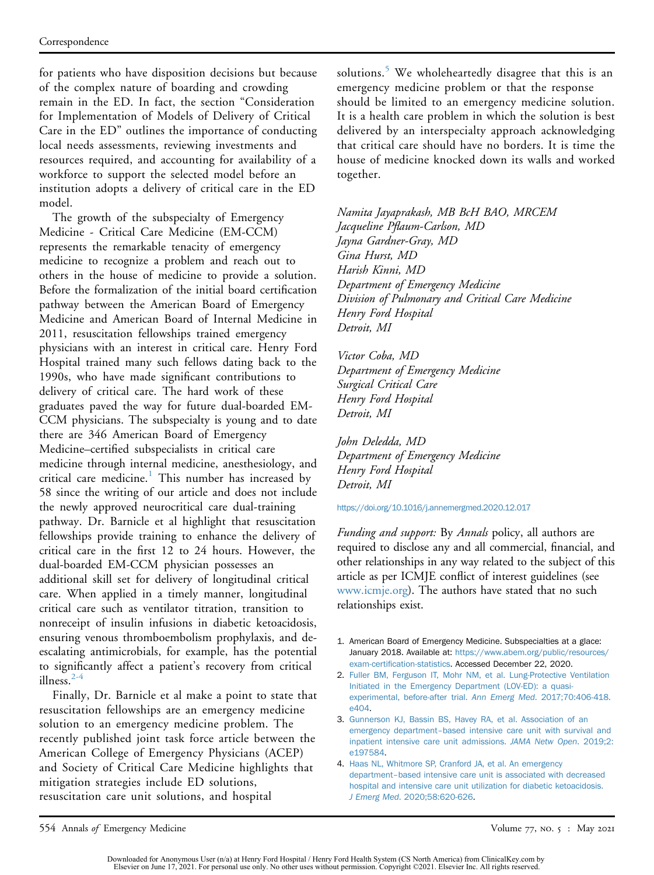for patients who have disposition decisions but because of the complex nature of boarding and crowding remain in the ED. In fact, the section "Consideration for Implementation of Models of Delivery of Critical Care in the ED" outlines the importance of conducting local needs assessments, reviewing investments and resources required, and accounting for availability of a workforce to support the selected model before an institution adopts a delivery of critical care in the ED model.

The growth of the subspecialty of Emergency Medicine - Critical Care Medicine (EM-CCM) represents the remarkable tenacity of emergency medicine to recognize a problem and reach out to others in the house of medicine to provide a solution. Before the formalization of the initial board certification pathway between the American Board of Emergency Medicine and American Board of Internal Medicine in 2011, resuscitation fellowships trained emergency physicians with an interest in critical care. Henry Ford Hospital trained many such fellows dating back to the 1990s, who have made significant contributions to delivery of critical care. The hard work of these graduates paved the way for future dual-boarded EM-CCM physicians. The subspecialty is young and to date there are 346 American Board of Emergency Medicine–certified subspecialists in critical care medicine through internal medicine, anesthesiology, and critical care medicine.<sup>[1](#page-3-0)</sup> This number has increased by 58 since the writing of our article and does not include the newly approved neurocritical care dual-training pathway. Dr. Barnicle et al highlight that resuscitation fellowships provide training to enhance the delivery of critical care in the first 12 to 24 hours. However, the dual-boarded EM-CCM physician possesses an additional skill set for delivery of longitudinal critical care. When applied in a timely manner, longitudinal critical care such as ventilator titration, transition to nonreceipt of insulin infusions in diabetic ketoacidosis, ensuring venous thromboembolism prophylaxis, and deescalating antimicrobials, for example, has the potential to significantly affect a patient's recovery from critical illness. $2-4$ 

Finally, Dr. Barnicle et al make a point to state that resuscitation fellowships are an emergency medicine solution to an emergency medicine problem. The recently published joint task force article between the American College of Emergency Physicians (ACEP) and Society of Critical Care Medicine highlights that mitigation strategies include ED solutions, resuscitation care unit solutions, and hospital

solutions. $5$  We wholeheartedly disagree that this is an emergency medicine problem or that the response should be limited to an emergency medicine solution. It is a health care problem in which the solution is best delivered by an interspecialty approach acknowledging that critical care should have no borders. It is time the house of medicine knocked down its walls and worked together.

Namita Jayaprakash, MB BcH BAO, MRCEM Jacqueline Pflaum-Carlson, MD Jayna Gardner-Gray, MD Gina Hurst, MD Harish Kinni, MD Department of Emergency Medicine Division of Pulmonary and Critical Care Medicine Henry Ford Hospital Detroit, MI

Victor Coba, MD Department of Emergency Medicine Surgical Critical Care Henry Ford Hospital Detroit, MI

John Deledda, MD Department of Emergency Medicine Henry Ford Hospital Detroit, MI

<https://doi.org/10.1016/j.annemergmed.2020.12.017>

Funding and support: By Annals policy, all authors are required to disclose any and all commercial, financial, and other relationships in any way related to the subject of this article as per ICMJE conflict of interest guidelines (see [www.icmje.org\)](http://www.icmje.org). The authors have stated that no such relationships exist.

- <span id="page-3-0"></span>1. American Board of Emergency Medicine. Subspecialties at a glace: January 2018. Available at: [https://www.abem.org/public/resources/](https://www.abem.org/public/resources/exam-certification-statistics) exam-certifi[cation-statistics.](https://www.abem.org/public/resources/exam-certification-statistics) Accessed December 22, 2020.
- <span id="page-3-1"></span>2. [Fuller BM, Ferguson IT, Mohr NM, et al. Lung-Protective Ventilation](http://refhub.elsevier.com/S0196-0644(20)31464-5/sref2) [Initiated in the Emergency Department \(LOV-ED\): a quasi](http://refhub.elsevier.com/S0196-0644(20)31464-5/sref2)[experimental, before-after trial.](http://refhub.elsevier.com/S0196-0644(20)31464-5/sref2) Ann Emerg Med. 2017;70:406-418. [e404.](http://refhub.elsevier.com/S0196-0644(20)31464-5/sref2)
- 3. [Gunnerson KJ, Bassin BS, Havey RA, et al. Association of an](http://refhub.elsevier.com/S0196-0644(20)31464-5/sref3) [emergency department](http://refhub.elsevier.com/S0196-0644(20)31464-5/sref3)–[based intensive care unit with survival and](http://refhub.elsevier.com/S0196-0644(20)31464-5/sref3) [inpatient intensive care unit admissions.](http://refhub.elsevier.com/S0196-0644(20)31464-5/sref3) JAMA Netw Open. 2019;2: [e197584.](http://refhub.elsevier.com/S0196-0644(20)31464-5/sref3)
- 4. [Haas NL, Whitmore SP, Cranford JA, et al. An emergency](http://refhub.elsevier.com/S0196-0644(20)31464-5/sref4) [department](http://refhub.elsevier.com/S0196-0644(20)31464-5/sref4)–[based intensive care unit is associated with decreased](http://refhub.elsevier.com/S0196-0644(20)31464-5/sref4) [hospital and intensive care unit utilization for diabetic ketoacidosis.](http://refhub.elsevier.com/S0196-0644(20)31464-5/sref4) J Emerg Med[. 2020;58:620-626](http://refhub.elsevier.com/S0196-0644(20)31464-5/sref4).